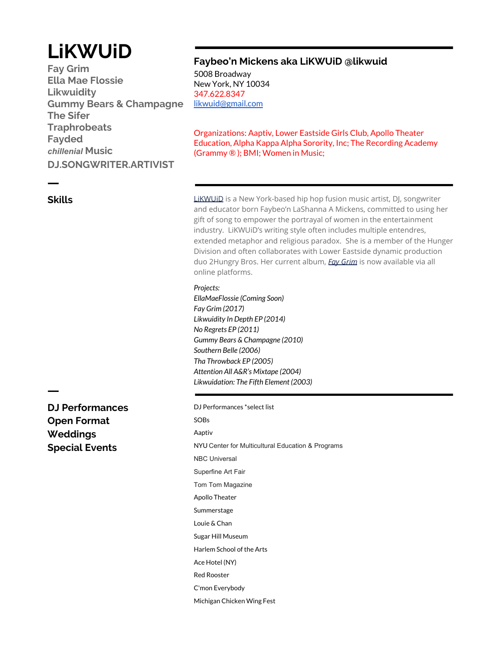# **LiKWUiD**

**Fay Grim Ella Mae Flossie Likwuidity Gummy Bears & Champagne The Sifer Traphrobeats Fayded** *chillenial* **Music DJ.SONGWRITER.ARTIVIST**

### **Faybeo'n Mickens aka LiKWUiD @likwuid**

5008 Broadway New York, NY 10034 347.622.8347 [likwuid@gmail.com](mailto:likwuid@gmail.com)

Organizations: Aaptiv, Lower Eastside Girls Club, Apollo Theater Education, Alpha Kappa Alpha Sorority, Inc; The Recording Academy (Grammy ® ); BMI; Women in Music;

**Skills**

ㅡ

[LiKWUiD](https://www.iamlikwuid.com/) is a New York-based hip hop fusion music artist, DJ, songwriter and educator born Faybeo'n LaShanna A Mickens, committed to using her gift of song to empower the portrayal of women in the entertainment industry. LiKWUiD's writing style often includes multiple entendres, extended metaphor and religious paradox. She is a member of the Hunger Division and often collaborates with Lower Eastside dynamic production duo 2Hungry Bros. Her current album, *[Fay Grim](https://likwuid.bandcamp.com/album/fay-grim)* is now available via all online platforms.

#### *Projects:*

*EllaMaeFlossie (Coming Soon) Fay Grim (2017) Likwuidity In Depth EP (2014) No Regrets EP (2011) Gummy Bears & Champagne (2010) Southern Belle (2006) Tha Throwback EP (2005) Attention All A&R's Mixtape (2004) Likwuidation: The Fifth Element (2003)*

**DJ Performances Open Format Weddings Special Events**

ㅡ

DJ Performances \*select list SOBs Aaptiv NYU Center for Multicultural Education & Programs NBC Universal Superfine Art Fair Tom Tom Magazine Apollo Theater Summerstage Louie & Chan Sugar Hill Museum Harlem School of the Arts Ace Hotel (NY) Red Rooster C'mon Everybody Michigan Chicken Wing Fest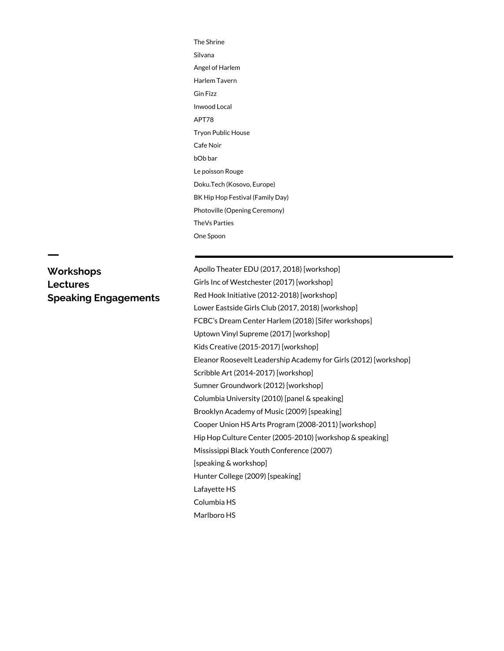The Shrine Silvana Angel of Harlem Harlem Tavern Gin Fizz Inwood Local APT78 Tryon Public House Cafe Noir bOb bar Le poisson Rouge Doku.Tech (Kosovo, Europe) BK Hip Hop Festival (Family Day) Photoville (Opening Ceremony) TheVs Parties One Spoon

## **Workshops Lectures Speaking Engagements**

ㅡ

Apollo Theater EDU (2017, 2018) [workshop] Girls Inc of Westchester (2017) [workshop] Red Hook Initiative (2012-2018) [workshop] Lower Eastside Girls Club (2017, 2018) [workshop] FCBC's Dream Center Harlem (2018) [Sifer workshops] Uptown Vinyl Supreme (2017) [workshop] Kids Creative (2015-2017) [workshop] Eleanor Roosevelt Leadership Academy for Girls (2012) [workshop] Scribble Art (2014-2017) [workshop] Sumner Groundwork (2012) [workshop] Columbia University (2010) [panel & speaking] Brooklyn Academy of Music (2009) [speaking] Cooper Union HS Arts Program (2008-2011) [workshop] Hip Hop Culture Center (2005-2010) [workshop & speaking] Mississippi Black Youth Conference (2007) [speaking & workshop] Hunter College (2009) [speaking] Lafayette HS Columbia HS

Marlboro HS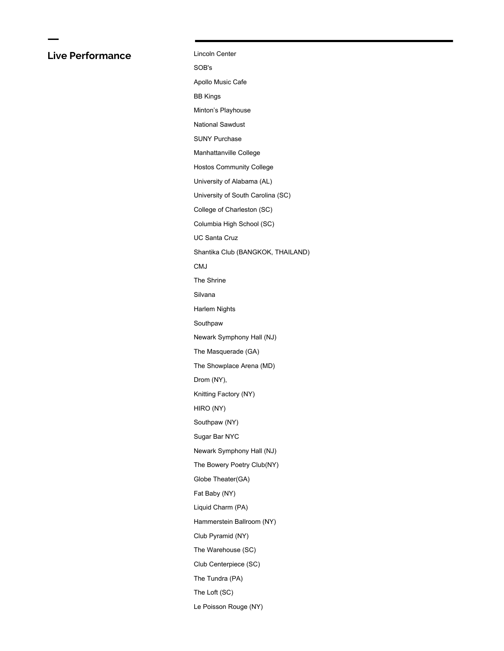## **Live Performance**

ㅡ

| Lincoln Center                    |
|-----------------------------------|
| SOB's                             |
| Apollo Music Cafe                 |
| <b>BB Kings</b>                   |
| Minton's Playhouse                |
| <b>National Sawdust</b>           |
| <b>SUNY Purchase</b>              |
| Manhattanville College            |
| <b>Hostos Community College</b>   |
| University of Alabama (AL)        |
| University of South Carolina (SC) |
| College of Charleston (SC)        |
| Columbia High School (SC)         |
| <b>UC Santa Cruz</b>              |
| Shantika Club (BANGKOK, THAILAND) |
| CMJ                               |
| The Shrine                        |
| Silvana                           |
| Harlem Nights                     |
| Southpaw                          |
| Newark Symphony Hall (NJ)         |
| The Masquerade (GA)               |
| The Showplace Arena (MD)          |
| Drom (NY),                        |
| Knitting Factory (NY)             |
| HIRO (NY)                         |
| Southpaw (NY)                     |
| Sugar Bar NYC                     |
| Newark Symphony Hall (NJ)         |
| The Bowery Poetry Club(NY)        |
| Globe Theater(GA)                 |
| Fat Baby (NY)                     |
| Liquid Charm (PA)                 |
| Hammerstein Ballroom (NY)         |
| Club Pyramid (NY)                 |
| The Warehouse (SC)                |
| Club Centerpiece (SC)             |
| The Tundra (PA)                   |
| The Loft (SC)                     |
| Le Poisson Rouge (NY)             |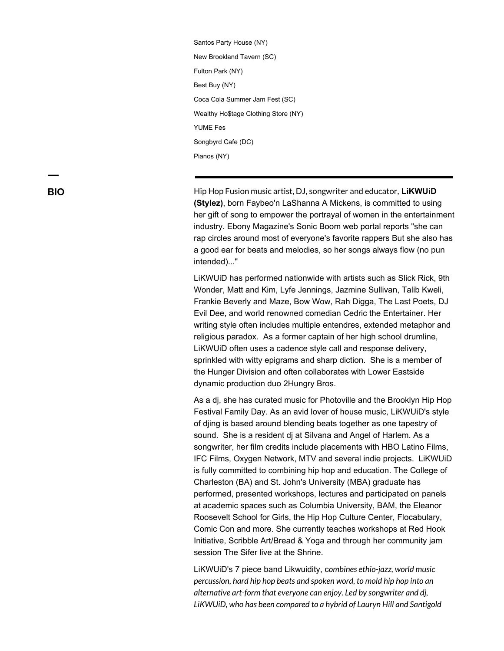Santos Party House (NY) New Brookland Tavern (SC) Fulton Park (NY) Best Buy (NY) Coca Cola Summer Jam Fest (SC) Wealthy Ho\$tage Clothing Store (NY) YUME Fes Songbyrd Cafe (DC) Pianos (NY)

**BIO** Hip Hop Fusion music artist, DJ, songwriter and educator, **LiKWUiD (Stylez)**, born Faybeo'n LaShanna A Mickens, is committed to using her gift of song to empower the portrayal of women in the entertainment industry. Ebony Magazine's Sonic Boom web portal reports "she can rap circles around most of everyone's favorite rappers But she also has a good ear for beats and melodies, so her songs always flow (no pun intended)..."

> LiKWUiD has performed nationwide with artists such as Slick Rick, 9th Wonder, Matt and Kim, Lyfe Jennings, Jazmine Sullivan, Talib Kweli, Frankie Beverly and Maze, Bow Wow, Rah Digga, The Last Poets, DJ Evil Dee, and world renowned comedian Cedric the Entertainer. Her writing style often includes multiple entendres, extended metaphor and religious paradox. As a former captain of her high school drumline, LiKWUiD often uses a cadence style call and response delivery, sprinkled with witty epigrams and sharp diction. She is a member of the Hunger Division and often collaborates with Lower Eastside dynamic production duo 2Hungry Bros.

> As a dj, she has curated music for Photoville and the Brooklyn Hip Hop Festival Family Day. As an avid lover of house music, LiKWUiD's style of djing is based around blending beats together as one tapestry of sound. She is a resident dj at Silvana and Angel of Harlem. As a songwriter, her film credits include placements with HBO Latino Films, IFC Films, Oxygen Network, MTV and several indie projects. LiKWUiD is fully committed to combining hip hop and education. The College of Charleston (BA) and St. John's University (MBA) graduate has performed, presented workshops, lectures and participated on panels at academic spaces such as Columbia University, BAM, the Eleanor Roosevelt School for Girls, the Hip Hop Culture Center, Flocabulary, Comic Con and more. She currently teaches workshops at Red Hook Initiative, Scribble Art/Bread & Yoga and through her community jam session The Sifer live at the Shrine.

LiKWUiD's 7 piece band Likwuidity, c*ombines ethio-jazz, world music percussion, hard hip hop beats and spoken word, to mold hip hop into an alternative art-form that everyone can enjoy. Led by songwriter and dj, LiKWUiD, who has been compared to a hybrid of Lauryn Hill and Santigold*

ㅡ